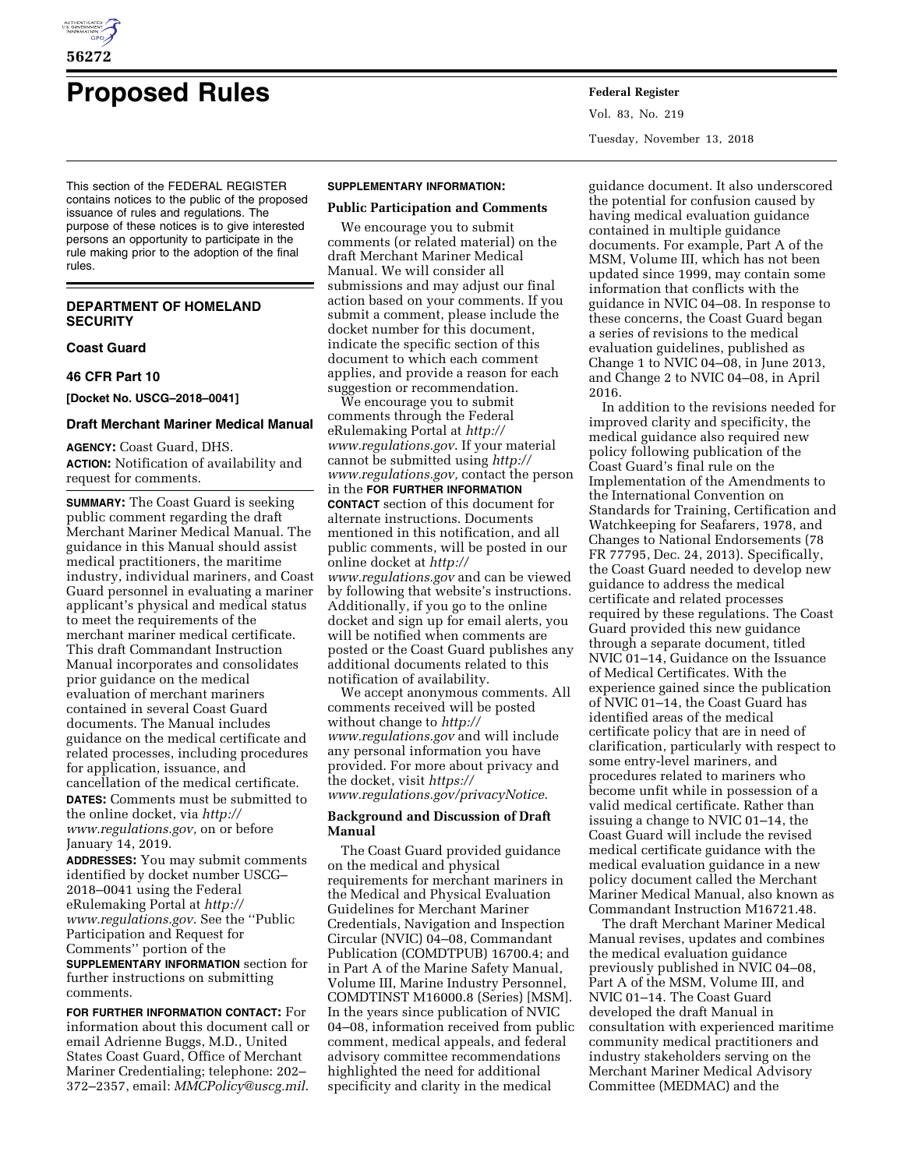

# **Proposed Rules Federal Register**

This section of the FEDERAL REGISTER contains notices to the public of the proposed issuance of rules and regulations. The purpose of these notices is to give interested persons an opportunity to participate in the rule making prior to the adoption of the final rules.

# **DEPARTMENT OF HOMELAND SECURITY**

# **Coast Guard**

#### **46 CFR Part 10**

**[Docket No. USCG–2018–0041]** 

# **Draft Merchant Mariner Medical Manual**

**AGENCY:** Coast Guard, DHS. **ACTION:** Notification of availability and request for comments.

**SUMMARY:** The Coast Guard is seeking public comment regarding the draft Merchant Mariner Medical Manual. The guidance in this Manual should assist medical practitioners, the maritime industry, individual mariners, and Coast Guard personnel in evaluating a mariner applicant's physical and medical status to meet the requirements of the merchant mariner medical certificate. This draft Commandant Instruction Manual incorporates and consolidates prior guidance on the medical evaluation of merchant mariners contained in several Coast Guard documents. The Manual includes guidance on the medical certificate and related processes, including procedures for application, issuance, and cancellation of the medical certificate.

**DATES:** Comments must be submitted to the online docket, via *[http://](http://www.regulations.gov) [www.regulations.gov,](http://www.regulations.gov)* on or before January 14, 2019.

**ADDRESSES:** You may submit comments identified by docket number USCG– 2018–0041 using the Federal eRulemaking Portal at *[http://](http://www.regulations.gov) [www.regulations.gov](http://www.regulations.gov)*. See the ''Public Participation and Request for Comments'' portion of the

**SUPPLEMENTARY INFORMATION** section for further instructions on submitting comments.

**FOR FURTHER INFORMATION CONTACT:** For information about this document call or email Adrienne Buggs, M.D., United States Coast Guard, Office of Merchant Mariner Credentialing; telephone: 202– 372–2357, email: *[MMCPolicy@uscg.mil](mailto:MMCPolicy@uscg.mil)*.

#### **SUPPLEMENTARY INFORMATION:**

#### **Public Participation and Comments**

We encourage you to submit comments (or related material) on the draft Merchant Mariner Medical Manual. We will consider all submissions and may adjust our final action based on your comments. If you submit a comment, please include the docket number for this document, indicate the specific section of this document to which each comment applies, and provide a reason for each suggestion or recommendation.

We encourage you to submit comments through the Federal eRulemaking Portal at *[http://](http://www.regulations.gov) [www.regulations.gov](http://www.regulations.gov)*. If your material cannot be submitted using *[http://](http://www.regulations.gov) [www.regulations.gov,](http://www.regulations.gov)* contact the person in the **FOR FURTHER INFORMATION CONTACT** section of this document for alternate instructions. Documents mentioned in this notification, and all public comments, will be posted in our online docket at *[http://](http://www.regulations.gov) [www.regulations.gov](http://www.regulations.gov)* and can be viewed by following that website's instructions. Additionally, if you go to the online docket and sign up for email alerts, you will be notified when comments are posted or the Coast Guard publishes any additional documents related to this notification of availability.

We accept anonymous comments. All comments received will be posted without change to *[http://](http://www.regulations.gov) [www.regulations.gov](http://www.regulations.gov)* and will include any personal information you have provided. For more about privacy and the docket, visit *[https://](https://www.regulations.gov/privacyNotice) [www.regulations.gov/privacyNotice](https://www.regulations.gov/privacyNotice)*.

# **Background and Discussion of Draft Manual**

The Coast Guard provided guidance on the medical and physical requirements for merchant mariners in the Medical and Physical Evaluation Guidelines for Merchant Mariner Credentials, Navigation and Inspection Circular (NVIC) 04–08, Commandant Publication (COMDTPUB) 16700.4; and in Part A of the Marine Safety Manual, Volume III, Marine Industry Personnel, COMDTINST M16000.8 (Series) [MSM]. In the years since publication of NVIC 04–08, information received from public comment, medical appeals, and federal advisory committee recommendations highlighted the need for additional specificity and clarity in the medical

Vol. 83, No. 219 Tuesday, November 13, 2018

guidance document. It also underscored the potential for confusion caused by having medical evaluation guidance contained in multiple guidance documents. For example, Part A of the MSM, Volume III, which has not been updated since 1999, may contain some information that conflicts with the guidance in NVIC 04–08. In response to these concerns, the Coast Guard began a series of revisions to the medical evaluation guidelines, published as Change 1 to NVIC 04–08, in June 2013, and Change 2 to NVIC 04–08, in April 2016.

In addition to the revisions needed for improved clarity and specificity, the medical guidance also required new policy following publication of the Coast Guard's final rule on the Implementation of the Amendments to the International Convention on Standards for Training, Certification and Watchkeeping for Seafarers, 1978, and Changes to National Endorsements (78 FR 77795, Dec. 24, 2013). Specifically, the Coast Guard needed to develop new guidance to address the medical certificate and related processes required by these regulations. The Coast Guard provided this new guidance through a separate document, titled NVIC 01–14, Guidance on the Issuance of Medical Certificates. With the experience gained since the publication of NVIC 01–14, the Coast Guard has identified areas of the medical certificate policy that are in need of clarification, particularly with respect to some entry-level mariners, and procedures related to mariners who become unfit while in possession of a valid medical certificate. Rather than issuing a change to NVIC 01–14, the Coast Guard will include the revised medical certificate guidance with the medical evaluation guidance in a new policy document called the Merchant Mariner Medical Manual, also known as Commandant Instruction M16721.48.

The draft Merchant Mariner Medical Manual revises, updates and combines the medical evaluation guidance previously published in NVIC 04–08, Part A of the MSM, Volume III, and NVIC 01–14. The Coast Guard developed the draft Manual in consultation with experienced maritime community medical practitioners and industry stakeholders serving on the Merchant Mariner Medical Advisory Committee (MEDMAC) and the